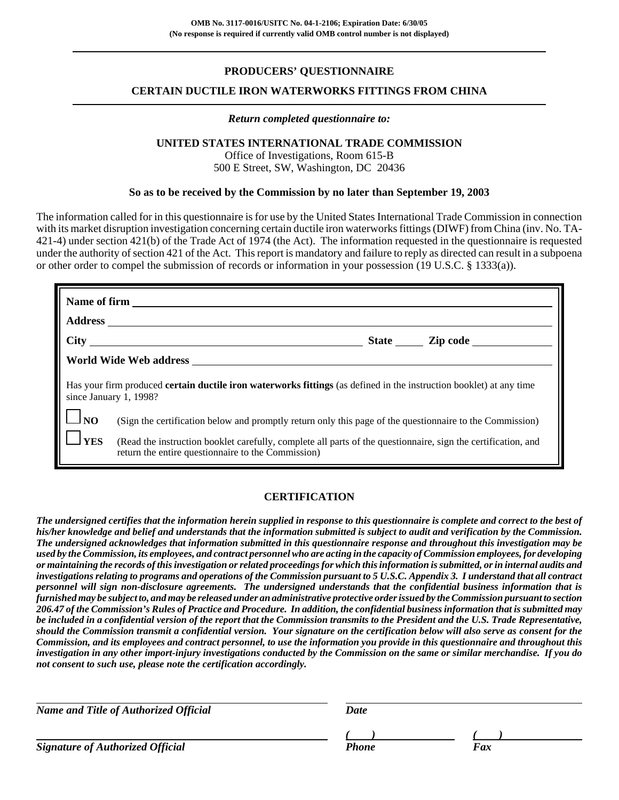## **PRODUCERS' QUESTIONNAIRE**

## **CERTAIN DUCTILE IRON WATERWORKS FITTINGS FROM CHINA**

#### *Return completed questionnaire to:*

#### **UNITED STATES INTERNATIONAL TRADE COMMISSION**

Office of Investigations, Room 615-B 500 E Street, SW, Washington, DC 20436

#### **So as to be received by the Commission by no later than September 19, 2003**

The information called for in this questionnaire is for use by the United States International Trade Commission in connection with its market disruption investigation concerning certain ductile iron waterworks fittings (DIWF) from China (inv. No. TA-421-4) under section 421(b) of the Trade Act of 1974 (the Act). The information requested in the questionnaire is requested under the authority of section 421 of the Act. This report is mandatory and failure to reply as directed can result in a subpoena or other order to compel the submission of records or information in your possession (19 U.S.C. § 1333(a)).

|                                                                                                                                                      | Name of firm                                                                                                                                                        |  |  |  |  |
|------------------------------------------------------------------------------------------------------------------------------------------------------|---------------------------------------------------------------------------------------------------------------------------------------------------------------------|--|--|--|--|
|                                                                                                                                                      |                                                                                                                                                                     |  |  |  |  |
|                                                                                                                                                      |                                                                                                                                                                     |  |  |  |  |
|                                                                                                                                                      |                                                                                                                                                                     |  |  |  |  |
| Has your firm produced <b>certain ductile iron waterworks fittings</b> (as defined in the instruction booklet) at any time<br>since January 1, 1998? |                                                                                                                                                                     |  |  |  |  |
| $\Box$ NO                                                                                                                                            | (Sign the certification below and promptly return only this page of the questionnaire to the Commission)                                                            |  |  |  |  |
| $\mathbf{J}$ YES                                                                                                                                     | (Read the instruction booklet carefully, complete all parts of the questionnaire, sign the certification, and<br>return the entire questionnaire to the Commission) |  |  |  |  |

### **CERTIFICATION**

*The undersigned certifies that the information herein supplied in response to this questionnaire is complete and correct to the best of his/her knowledge and belief and understands that the information submitted is subject to audit and verification by the Commission. The undersigned acknowledges that information submitted in this questionnaire response and throughout this investigation may be used by the Commission, its employees, and contract personnel who are acting in the capacity of Commission employees, for developing or maintaining the records of this investigation or related proceedings for which this information is submitted, or in internal audits and investigations relating to programs and operations of the Commission pursuant to 5 U.S.C. Appendix 3. I understand that all contract personnel will sign non-disclosure agreements. The undersigned understands that the confidential business information that is furnished may be subject to, and may be released under an administrative protective order issued by the Commission pursuant to section 206.47 of the Commission's Rules of Practice and Procedure. In addition, the confidential business information that is submitted may be included in a confidential version of the report that the Commission transmits to the President and the U.S. Trade Representative, should the Commission transmit a confidential version. Your signature on the certification below will also serve as consent for the Commission, and its employees and contract personnel, to use the information you provide in this questionnaire and throughout this investigation in any other import-injury investigations conducted by the Commission on the same or similar merchandise. If you do not consent to such use, please note the certification accordingly.*

*Name and Title of Authorized Official* Date Date

*Signature of Authorized Official Phone Fax*

*( ) ( )*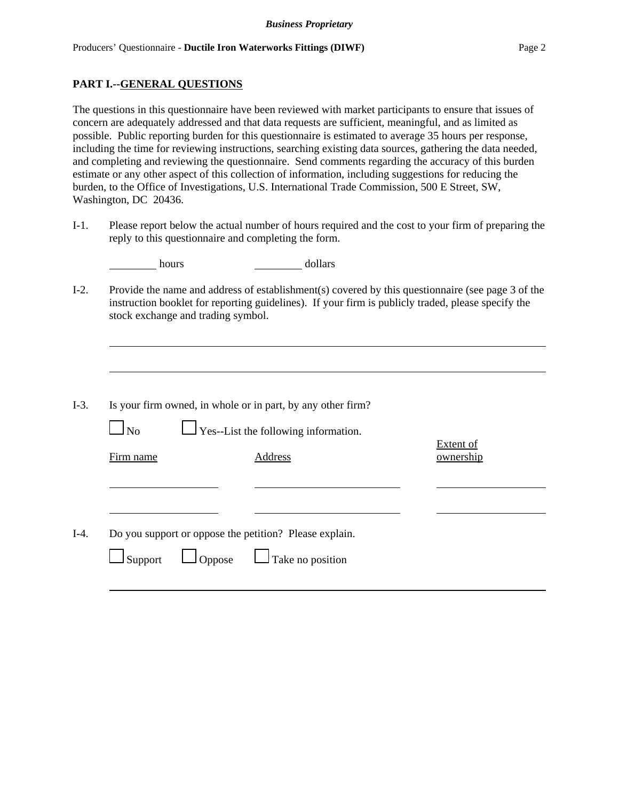### **PART I.--GENERAL QUESTIONS**

The questions in this questionnaire have been reviewed with market participants to ensure that issues of concern are adequately addressed and that data requests are sufficient, meaningful, and as limited as possible. Public reporting burden for this questionnaire is estimated to average 35 hours per response, including the time for reviewing instructions, searching existing data sources, gathering the data needed, and completing and reviewing the questionnaire. Send comments regarding the accuracy of this burden estimate or any other aspect of this collection of information, including suggestions for reducing the burden, to the Office of Investigations, U.S. International Trade Commission, 500 E Street, SW, Washington, DC 20436.

I-1. Please report below the actual number of hours required and the cost to your firm of preparing the reply to this questionnaire and completing the form.

|                        | dollars<br>hours                                                                                                                                                                                                                              |                               |
|------------------------|-----------------------------------------------------------------------------------------------------------------------------------------------------------------------------------------------------------------------------------------------|-------------------------------|
|                        | Provide the name and address of establishment(s) covered by this questionnaire (see page 3 of the<br>instruction booklet for reporting guidelines). If your firm is publicly traded, please specify the<br>stock exchange and trading symbol. |                               |
|                        |                                                                                                                                                                                                                                               |                               |
| $\Box$ No<br>Firm name | Is your firm owned, in whole or in part, by any other firm?<br>$\Gamma$ Yes--List the following information.<br>Address                                                                                                                       | <b>Extent of</b><br>ownership |
| Support                | Do you support or oppose the petition? Please explain.<br>$\Box$ Take no position<br>$\Box$ Oppose                                                                                                                                            |                               |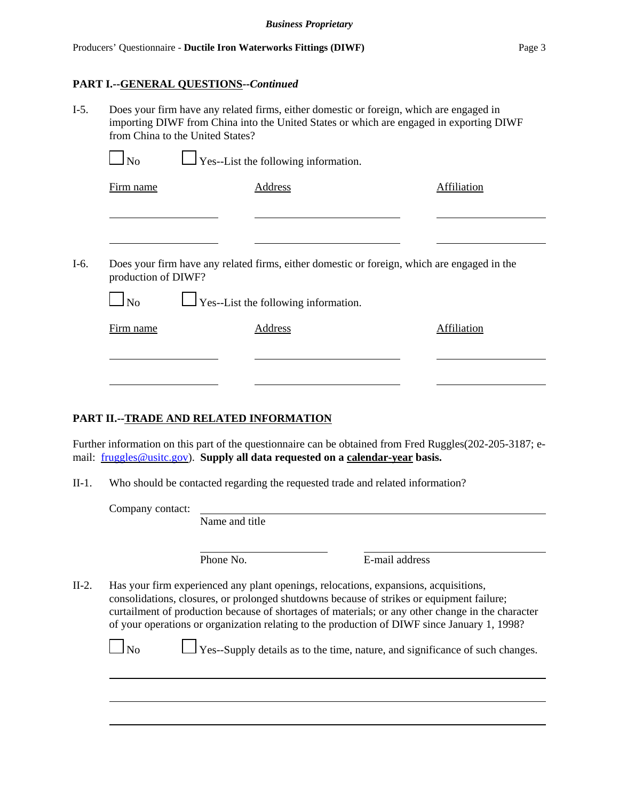#### **PART I.--GENERAL QUESTIONS--***Continued*

| $I-5.$ | Does your firm have any related firms, either domestic or foreign, which are engaged in<br>importing DIWF from China into the United States or which are engaged in exporting DIWF<br>from China to the United States? |         |             |  |  |  |  |  |
|--------|------------------------------------------------------------------------------------------------------------------------------------------------------------------------------------------------------------------------|---------|-------------|--|--|--|--|--|
|        | $\Box$ No<br>$\Box$ Yes--List the following information.                                                                                                                                                               |         |             |  |  |  |  |  |
|        | Firm name                                                                                                                                                                                                              | Address | Affiliation |  |  |  |  |  |
|        |                                                                                                                                                                                                                        |         |             |  |  |  |  |  |

I-6. Does your firm have any related firms, either domestic or foreign, which are engaged in the production of DIWF?

| N <sub>0</sub> | $\Box$ Yes--List the following information. |             |
|----------------|---------------------------------------------|-------------|
| Firm name      | Address                                     | Affiliation |
|                |                                             |             |

### **PART II.--TRADE AND RELATED INFORMATION**

 $\Box$ 

Further information on this part of the questionnaire can be obtained from Fred Ruggles(202-205-3187; email: fruggles@usitc.gov). **Supply all data requested on a calendar-year basis.**

II-1. Who should be contacted regarding the requested trade and related information?

Company contact:

 $\Box$ 

Name and title

Phone No. **E**-mail address

II-2. Has your firm experienced any plant openings, relocations, expansions, acquisitions, consolidations, closures, or prolonged shutdowns because of strikes or equipment failure; curtailment of production because of shortages of materials; or any other change in the character of your operations or organization relating to the production of DIWF since January 1, 1998?

| $\Box$ No |  | Yes--Supply details as to the time, nature, and significance of such changes. |  |
|-----------|--|-------------------------------------------------------------------------------|--|
|-----------|--|-------------------------------------------------------------------------------|--|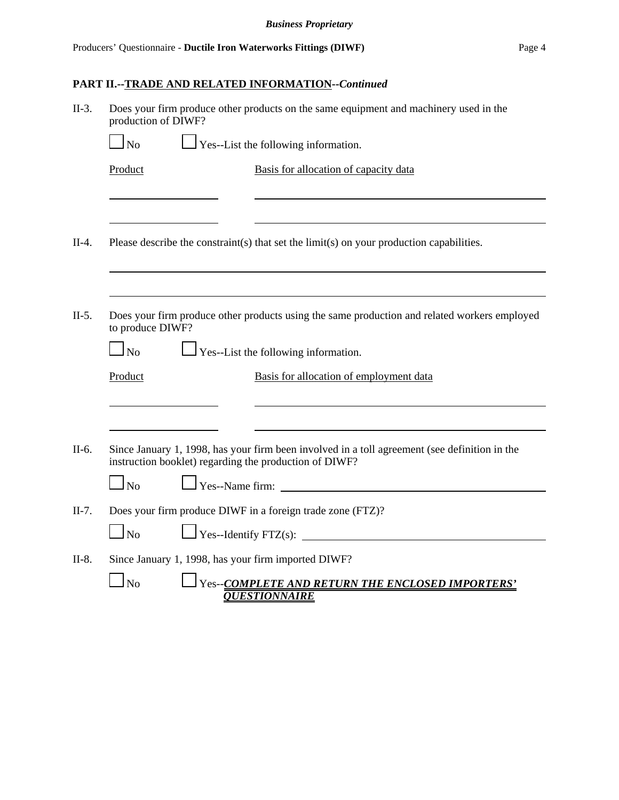# **PART II.--TRADE AND RELATED INFORMATION--***Continued*

| $II-3.$ | Does your firm produce other products on the same equipment and machinery used in the<br>production of DIWF? |                                                                                                                                                         |  |  |  |  |  |
|---------|--------------------------------------------------------------------------------------------------------------|---------------------------------------------------------------------------------------------------------------------------------------------------------|--|--|--|--|--|
|         | $\log$                                                                                                       | $\Gamma$ Yes--List the following information.                                                                                                           |  |  |  |  |  |
|         | Product                                                                                                      | Basis for allocation of capacity data                                                                                                                   |  |  |  |  |  |
|         |                                                                                                              |                                                                                                                                                         |  |  |  |  |  |
| $II-4.$ |                                                                                                              | Please describe the constraint(s) that set the limit(s) on your production capabilities.                                                                |  |  |  |  |  |
|         |                                                                                                              |                                                                                                                                                         |  |  |  |  |  |
| $II-5.$ | to produce DIWF?                                                                                             | Does your firm produce other products using the same production and related workers employed                                                            |  |  |  |  |  |
|         | $\log$                                                                                                       | $\Box$ Yes--List the following information.                                                                                                             |  |  |  |  |  |
|         | Product                                                                                                      | Basis for allocation of employment data                                                                                                                 |  |  |  |  |  |
|         |                                                                                                              |                                                                                                                                                         |  |  |  |  |  |
| $II-6.$ |                                                                                                              | Since January 1, 1998, has your firm been involved in a toll agreement (see definition in the<br>instruction booklet) regarding the production of DIWF? |  |  |  |  |  |
|         | $\Box_{\text{No}}$                                                                                           | Yes--Name firm:<br><u> 1980 - Andrea Station Books, amerikansk politik (</u>                                                                            |  |  |  |  |  |
| $II-7.$ |                                                                                                              | Does your firm produce DIWF in a foreign trade zone (FTZ)?                                                                                              |  |  |  |  |  |
|         | $\Box$ No                                                                                                    |                                                                                                                                                         |  |  |  |  |  |
| $II-8.$ |                                                                                                              | Since January 1, 1998, has your firm imported DIWF?                                                                                                     |  |  |  |  |  |
|         | $\mathbf{I}_{\mathrm{No}}$                                                                                   | Yes--COMPLETE AND RETURN THE ENCLOSED IMPORTERS'<br><b>OUESTIONNAIRE</b>                                                                                |  |  |  |  |  |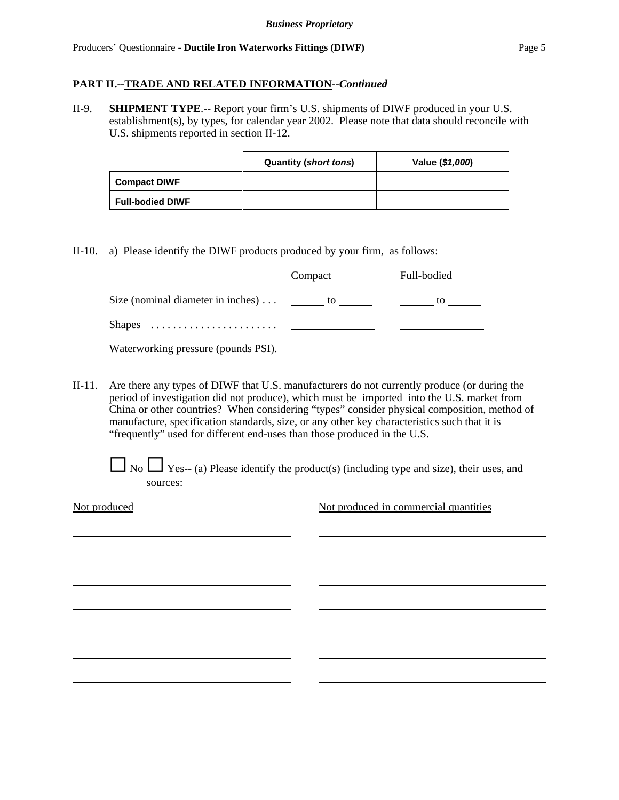#### **PART II.--TRADE AND RELATED INFORMATION--***Continued*

II-9. **SHIPMENT TYPE**.-- Report your firm's U.S. shipments of DIWF produced in your U.S. establishment(s), by types, for calendar year 2002. Please note that data should reconcile with U.S. shipments reported in section II-12.

|                         | <b>Quantity (short tons)</b> | Value (\$1,000) |
|-------------------------|------------------------------|-----------------|
| <b>Compact DIWF</b>     |                              |                 |
| <b>Full-bodied DIWF</b> |                              |                 |

II-10. a) Please identify the DIWF products produced by your firm, as follows:

|                                                                 | Compact | Full-bodied |
|-----------------------------------------------------------------|---------|-------------|
| Size (nominal diameter in inches) $\dots$ _________ to ________ |         | tο          |
|                                                                 |         |             |
| Waterworking pressure (pounds PSI).                             |         |             |

II-11. Are there any types of DIWF that U.S. manufacturers do not currently produce (or during the period of investigation did not produce), which must be imported into the U.S. market from China or other countries? When considering "types" consider physical composition, method of manufacture, specification standards, size, or any other key characteristics such that it is "frequently" used for different end-uses than those produced in the U.S.

 $\Box$  No  $\Box$  Yes-- (a) Please identify the product(s) (including type and size), their uses, and sources:

Not produced Not produced in commercial quantities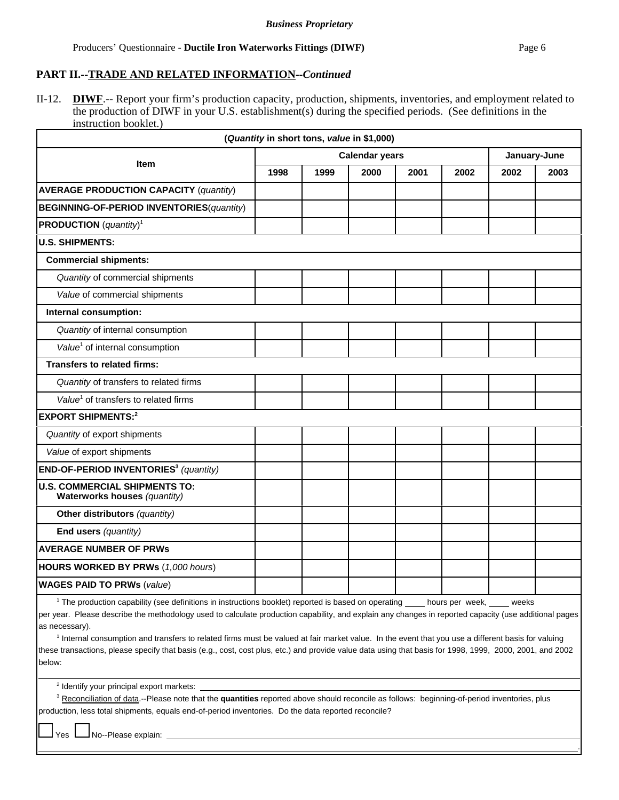.

### **PART II.--TRADE AND RELATED INFORMATION--***Continued*

II-12. **DIWF**.-- Report your firm's production capacity, production, shipments, inventories, and employment related to the production of DIWF in your U.S. establishment(s) during the specified periods. (See definitions in the instruction booklet.)

| (Quantity in short tons, value in \$1,000)                                                              |                                       |      |      |      |                  |         |      |
|---------------------------------------------------------------------------------------------------------|---------------------------------------|------|------|------|------------------|---------|------|
|                                                                                                         | <b>Calendar years</b><br>January-June |      |      |      |                  |         |      |
| <b>Item</b>                                                                                             | 1998                                  | 1999 | 2000 | 2001 | 2002             | 2002    | 2003 |
| <b>AVERAGE PRODUCTION CAPACITY (quantity)</b>                                                           |                                       |      |      |      |                  |         |      |
| <b>BEGINNING-OF-PERIOD INVENTORIES(quantity)</b>                                                        |                                       |      |      |      |                  |         |      |
| <b>PRODUCTION</b> ( <i>quantity</i> ) <sup>1</sup>                                                      |                                       |      |      |      |                  |         |      |
| <b>U.S. SHIPMENTS:</b>                                                                                  |                                       |      |      |      |                  |         |      |
| <b>Commercial shipments:</b>                                                                            |                                       |      |      |      |                  |         |      |
| Quantity of commercial shipments                                                                        |                                       |      |      |      |                  |         |      |
| Value of commercial shipments                                                                           |                                       |      |      |      |                  |         |      |
| Internal consumption:                                                                                   |                                       |      |      |      |                  |         |      |
| Quantity of internal consumption                                                                        |                                       |      |      |      |                  |         |      |
| Value <sup>1</sup> of internal consumption                                                              |                                       |      |      |      |                  |         |      |
| <b>Transfers to related firms:</b>                                                                      |                                       |      |      |      |                  |         |      |
| Quantity of transfers to related firms                                                                  |                                       |      |      |      |                  |         |      |
| Value <sup>1</sup> of transfers to related firms                                                        |                                       |      |      |      |                  |         |      |
| <b>EXPORT SHIPMENTS:2</b>                                                                               |                                       |      |      |      |                  |         |      |
| Quantity of export shipments                                                                            |                                       |      |      |      |                  |         |      |
| Value of export shipments                                                                               |                                       |      |      |      |                  |         |      |
| END-OF-PERIOD INVENTORIES <sup>3</sup> (quantity)                                                       |                                       |      |      |      |                  |         |      |
| <b>U.S. COMMERCIAL SHIPMENTS TO:</b><br>Waterworks houses (quantity)                                    |                                       |      |      |      |                  |         |      |
| Other distributors (quantity)                                                                           |                                       |      |      |      |                  |         |      |
| End users (quantity)                                                                                    |                                       |      |      |      |                  |         |      |
| <b>AVERAGE NUMBER OF PRWs</b>                                                                           |                                       |      |      |      |                  |         |      |
| <b>HOURS WORKED BY PRWs (1,000 hours)</b>                                                               |                                       |      |      |      |                  |         |      |
| <b>WAGES PAID TO PRWs (value)</b>                                                                       |                                       |      |      |      |                  |         |      |
| $1$ The needs otion concluits (can definitional in instructions booklet) reported in booed on operation |                                       |      |      |      | house non unoble | وملومين |      |

The production capability (see definitions in instructions booklet) reported is based on operating *\_\_\_\_* hours per week, \_\_\_\_\_ weeks

per year. Please describe the methodology used to calculate production capability, and explain any changes in reported capacity (use additional pages as necessary).

<sup>1</sup> Internal consumption and transfers to related firms must be valued at fair market value. In the event that you use a different basis for valuing these transactions, please specify that basis (e.g., cost, cost plus, etc.) and provide value data using that basis for 1998, 1999, 2000, 2001, and 2002 below:

<sup>2</sup> Identify your principal export markets:

<sup>3</sup> Reconciliation of data.--Please note that the **quantities** reported above should reconcile as follows: beginning-of-period inventories, plus production, less total shipments, equals end-of-period inventories. Do the data reported reconcile?

Yes  $\Box$  No--Please explain: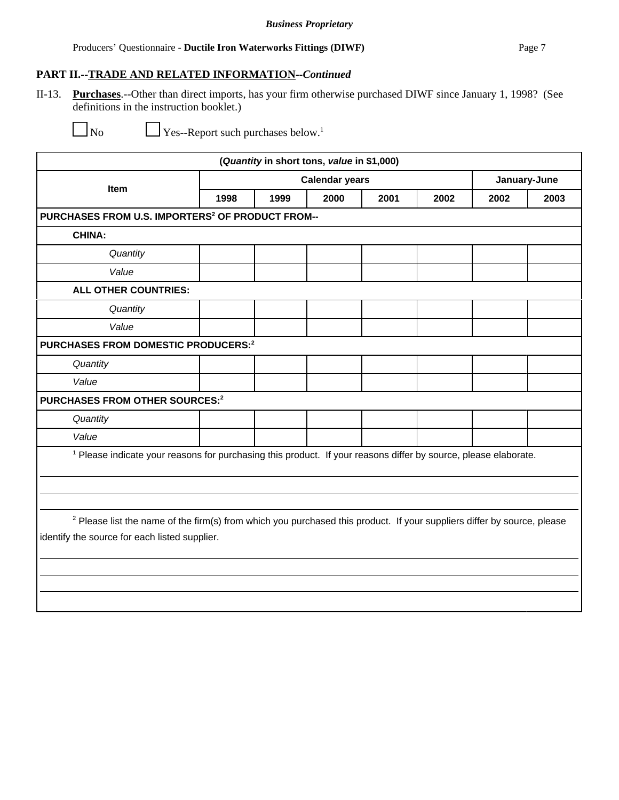II-13. **Purchases**.--Other than direct imports, has your firm otherwise purchased DIWF since January 1, 1998? (See definitions in the instruction booklet.)

 $\Box$  Yes--Report such purchases below.<sup>1</sup>

| (Quantity in short tons, value in \$1,000)                                                                                         |                       |      |      |      |      |      |              |
|------------------------------------------------------------------------------------------------------------------------------------|-----------------------|------|------|------|------|------|--------------|
|                                                                                                                                    | <b>Calendar years</b> |      |      |      |      |      | January-June |
| Item                                                                                                                               | 1998                  | 1999 | 2000 | 2001 | 2002 | 2002 | 2003         |
| PURCHASES FROM U.S. IMPORTERS <sup>2</sup> OF PRODUCT FROM--                                                                       |                       |      |      |      |      |      |              |
| <b>CHINA:</b>                                                                                                                      |                       |      |      |      |      |      |              |
| Quantity                                                                                                                           |                       |      |      |      |      |      |              |
| Value                                                                                                                              |                       |      |      |      |      |      |              |
| <b>ALL OTHER COUNTRIES:</b>                                                                                                        |                       |      |      |      |      |      |              |
| Quantity                                                                                                                           |                       |      |      |      |      |      |              |
| Value                                                                                                                              |                       |      |      |      |      |      |              |
| PURCHASES FROM DOMESTIC PRODUCERS:2                                                                                                |                       |      |      |      |      |      |              |
| Quantity                                                                                                                           |                       |      |      |      |      |      |              |
| Value                                                                                                                              |                       |      |      |      |      |      |              |
| PURCHASES FROM OTHER SOURCES:2                                                                                                     |                       |      |      |      |      |      |              |
| Quantity                                                                                                                           |                       |      |      |      |      |      |              |
| Value                                                                                                                              |                       |      |      |      |      |      |              |
| <sup>1</sup> Please indicate your reasons for purchasing this product. If your reasons differ by source, please elaborate.         |                       |      |      |      |      |      |              |
|                                                                                                                                    |                       |      |      |      |      |      |              |
|                                                                                                                                    |                       |      |      |      |      |      |              |
| <sup>2</sup> Please list the name of the firm(s) from which you purchased this product. If your suppliers differ by source, please |                       |      |      |      |      |      |              |
| identify the source for each listed supplier.                                                                                      |                       |      |      |      |      |      |              |
|                                                                                                                                    |                       |      |      |      |      |      |              |
|                                                                                                                                    |                       |      |      |      |      |      |              |
|                                                                                                                                    |                       |      |      |      |      |      |              |
|                                                                                                                                    |                       |      |      |      |      |      |              |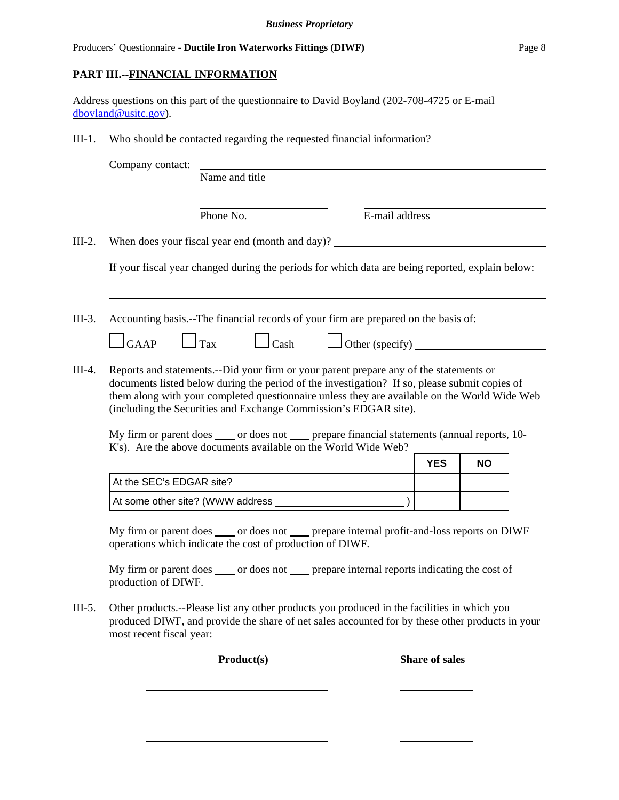## **PART III.--FINANCIAL INFORMATION**

Address questions on this part of the questionnaire to David Boyland (202-708-4725 or E-mail dboyland@usitc.gov).

III-1. Who should be contacted regarding the requested financial information?

Company contact:

Name and title

Phone No. **E**-mail address

III-2. When does your fiscal year end (month and day)?

If your fiscal year changed during the periods for which data are being reported, explain below:

III-3. Accounting basis.--The financial records of your firm are prepared on the basis of:

- $\Box$ GAAP  $\Box$ Tax  $\Box$ Cash  $\Box$ Other (specify)
- III-4. Reports and statements.--Did your firm or your parent prepare any of the statements or documents listed below during the period of the investigation? If so, please submit copies of them along with your completed questionnaire unless they are available on the World Wide Web (including the Securities and Exchange Commission's EDGAR site).

My firm or parent does or does not prepare financial statements (annual reports, 10-K's). Are the above documents available on the World Wide Web?

|                                  | <b>YES</b> | <b>NO</b> |
|----------------------------------|------------|-----------|
| At the SEC's EDGAR site?         |            |           |
| At some other site? (WWW address |            |           |

My firm or parent does \_\_\_\_\_ or does not \_\_\_\_\_ prepare internal profit-and-loss reports on DIWF operations which indicate the cost of production of DIWF.

My firm or parent does \_\_\_\_\_ or does not \_\_\_\_\_ prepare internal reports indicating the cost of production of DIWF.

III-5. Other products.--Please list any other products you produced in the facilities in which you produced DIWF, and provide the share of net sales accounted for by these other products in your most recent fiscal year:

Product(s) Share of sales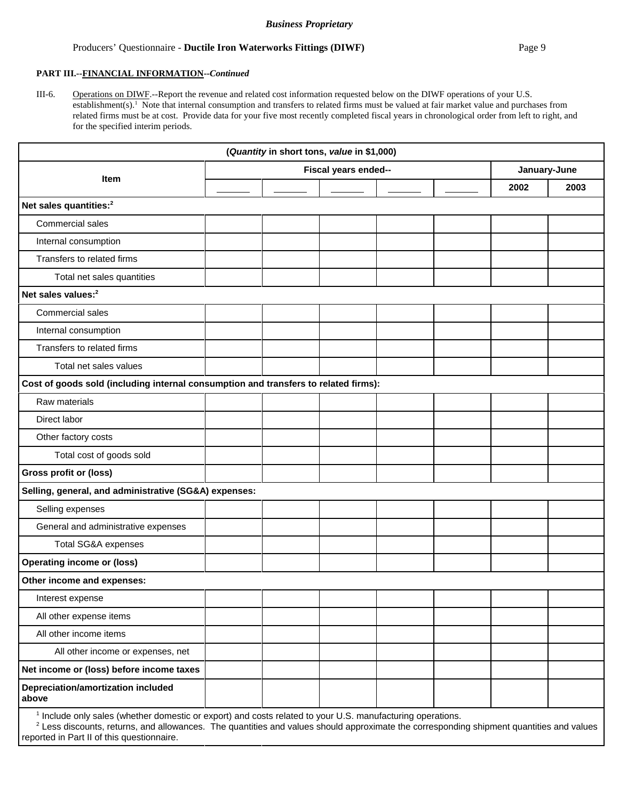#### Producers' Questionnaire - **Ductile Iron Waterworks Fittings (DIWF)** Page 9

#### **PART III.--FINANCIAL INFORMATION--***Continued*

III-6. Operations on DIWF.--Report the revenue and related cost information requested below on the DIWF operations of your U.S. establishment(s).<sup>1</sup> Note that internal consumption and transfers to related firms must be valued at fair market value and purchases from related firms must be at cost. Provide data for your five most recently completed fiscal years in chronological order from left to right, and for the specified interim periods.

| (Quantity in short tons, value in \$1,000)                                          |  |  |                      |  |  |      |              |  |
|-------------------------------------------------------------------------------------|--|--|----------------------|--|--|------|--------------|--|
|                                                                                     |  |  | Fiscal years ended-- |  |  |      | January-June |  |
| Item                                                                                |  |  |                      |  |  | 2002 | 2003         |  |
| Net sales quantities: <sup>2</sup>                                                  |  |  |                      |  |  |      |              |  |
| Commercial sales                                                                    |  |  |                      |  |  |      |              |  |
| Internal consumption                                                                |  |  |                      |  |  |      |              |  |
| Transfers to related firms                                                          |  |  |                      |  |  |      |              |  |
| Total net sales quantities                                                          |  |  |                      |  |  |      |              |  |
| Net sales values: <sup>2</sup>                                                      |  |  |                      |  |  |      |              |  |
| Commercial sales                                                                    |  |  |                      |  |  |      |              |  |
| Internal consumption                                                                |  |  |                      |  |  |      |              |  |
| Transfers to related firms                                                          |  |  |                      |  |  |      |              |  |
| Total net sales values                                                              |  |  |                      |  |  |      |              |  |
| Cost of goods sold (including internal consumption and transfers to related firms): |  |  |                      |  |  |      |              |  |
| Raw materials                                                                       |  |  |                      |  |  |      |              |  |
| Direct labor                                                                        |  |  |                      |  |  |      |              |  |
| Other factory costs                                                                 |  |  |                      |  |  |      |              |  |
| Total cost of goods sold                                                            |  |  |                      |  |  |      |              |  |
| <b>Gross profit or (loss)</b>                                                       |  |  |                      |  |  |      |              |  |
| Selling, general, and administrative (SG&A) expenses:                               |  |  |                      |  |  |      |              |  |
| Selling expenses                                                                    |  |  |                      |  |  |      |              |  |
| General and administrative expenses                                                 |  |  |                      |  |  |      |              |  |
| <b>Total SG&amp;A expenses</b>                                                      |  |  |                      |  |  |      |              |  |
| <b>Operating income or (loss)</b>                                                   |  |  |                      |  |  |      |              |  |
| Other income and expenses:                                                          |  |  |                      |  |  |      |              |  |
| Interest expense                                                                    |  |  |                      |  |  |      |              |  |
| All other expense items                                                             |  |  |                      |  |  |      |              |  |
| All other income items                                                              |  |  |                      |  |  |      |              |  |
| All other income or expenses, net                                                   |  |  |                      |  |  |      |              |  |
| Net income or (loss) before income taxes                                            |  |  |                      |  |  |      |              |  |
| Depreciation/amortization included<br>above                                         |  |  |                      |  |  |      |              |  |

<sup>1</sup> Include only sales (whether domestic or export) and costs related to your U.S. manufacturing operations.

 $^2$  Less discounts, returns, and allowances. The quantities and values should approximate the corresponding shipment quantities and values reported in Part II of this questionnaire.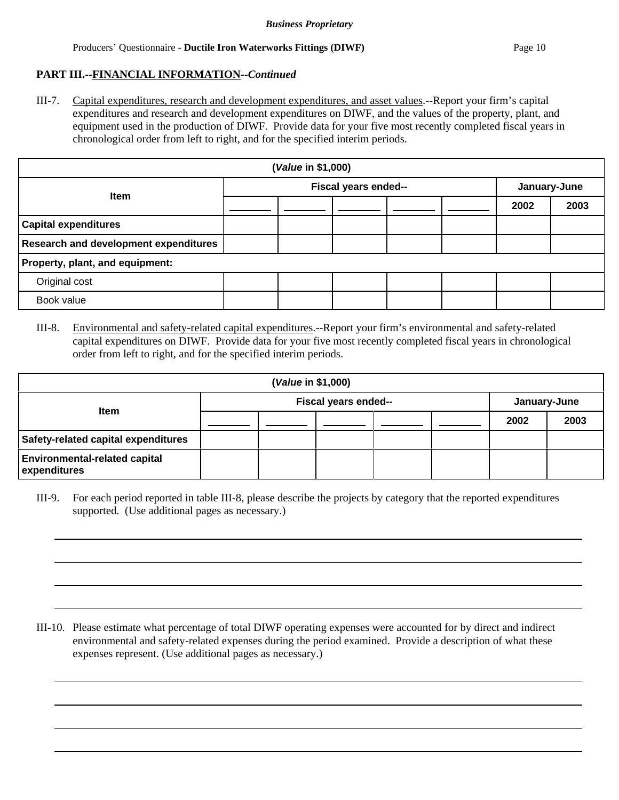#### **PART III.--FINANCIAL INFORMATION--***Continued*

III-7. Capital expenditures, research and development expenditures, and asset values.--Report your firm's capital expenditures and research and development expenditures on DIWF, and the values of the property, plant, and equipment used in the production of DIWF. Provide data for your five most recently completed fiscal years in chronological order from left to right, and for the specified interim periods.

| (Value in \$1,000)                    |  |                      |  |  |  |      |              |  |
|---------------------------------------|--|----------------------|--|--|--|------|--------------|--|
| <b>Item</b>                           |  | Fiscal years ended-- |  |  |  |      | January-June |  |
|                                       |  |                      |  |  |  | 2002 | 2003         |  |
| <b>Capital expenditures</b>           |  |                      |  |  |  |      |              |  |
| Research and development expenditures |  |                      |  |  |  |      |              |  |
| Property, plant, and equipment:       |  |                      |  |  |  |      |              |  |
| Original cost                         |  |                      |  |  |  |      |              |  |
| Book value                            |  |                      |  |  |  |      |              |  |

III-8. Environmental and safety-related capital expenditures.--Report your firm's environmental and safety-related capital expenditures on DIWF. Provide data for your five most recently completed fiscal years in chronological order from left to right, and for the specified interim periods.

| ( <i>Value</i> in \$1,000)                           |                      |  |  |  |  |              |      |
|------------------------------------------------------|----------------------|--|--|--|--|--------------|------|
|                                                      | Fiscal years ended-- |  |  |  |  | January-June |      |
| <b>Item</b>                                          |                      |  |  |  |  | 2002         | 2003 |
| Safety-related capital expenditures                  |                      |  |  |  |  |              |      |
| <b>Environmental-related capital</b><br>expenditures |                      |  |  |  |  |              |      |

III-9. For each period reported in table III-8, please describe the projects by category that the reported expenditures supported. (Use additional pages as necessary.)

III-10. Please estimate what percentage of total DIWF operating expenses were accounted for by direct and indirect environmental and safety-related expenses during the period examined. Provide a description of what these expenses represent. (Use additional pages as necessary.)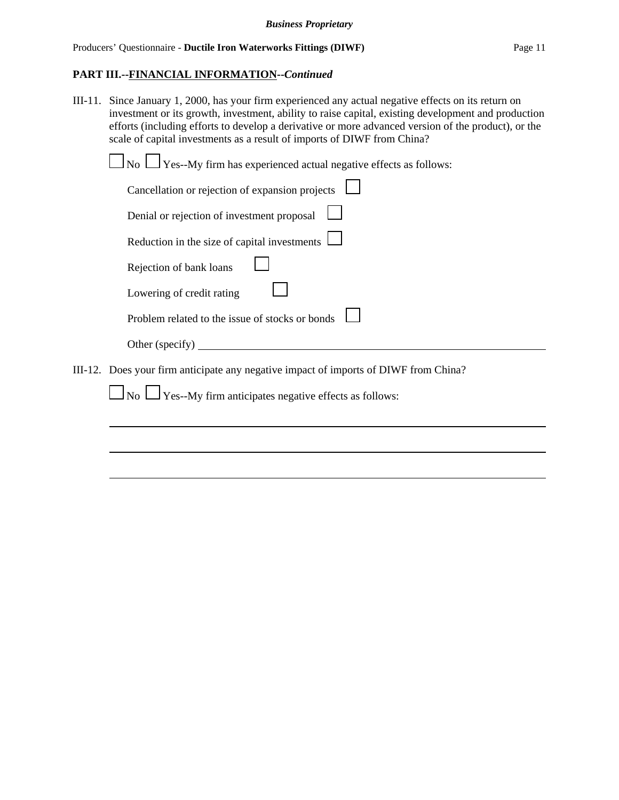III-11. Since January 1, 2000, has your firm experienced any actual negative effects on its return on investment or its growth, investment, ability to raise capital, existing development and production efforts (including efforts to develop a derivative or more advanced version of the product), or the scale of capital investments as a result of imports of DIWF from China?

| $\Box$ No $\Box$ Yes--My firm has experienced actual negative effects as follows:    |  |
|--------------------------------------------------------------------------------------|--|
| Cancellation or rejection of expansion projects                                      |  |
| Denial or rejection of investment proposal                                           |  |
| Reduction in the size of capital investments $\Box$                                  |  |
| Rejection of bank loans                                                              |  |
| Lowering of credit rating                                                            |  |
| Problem related to the issue of stocks or bonds                                      |  |
| Other (specify) $\overline{\phantom{a}}$                                             |  |
| III-12. Does your firm anticipate any negative impact of imports of DIWF from China? |  |
| $\Box$ No $\Box$ Yes--My firm anticipates negative effects as follows:               |  |
|                                                                                      |  |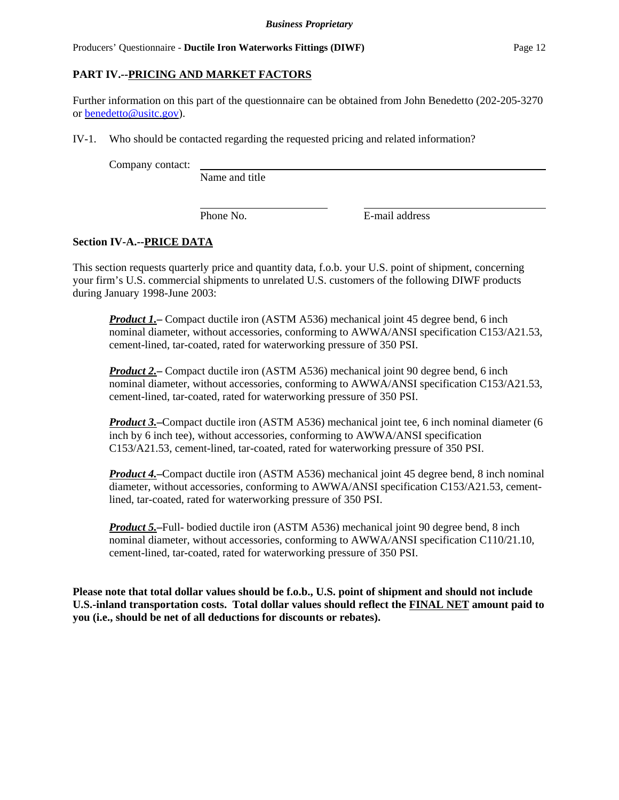# **PART IV.--PRICING AND MARKET FACTORS**

Further information on this part of the questionnaire can be obtained from John Benedetto (202-205-3270 or benedetto@usitc.gov).

IV-1. Who should be contacted regarding the requested pricing and related information?

Company contact:

Name and title

Phone No. **E**-mail address

## **Section IV-A.--PRICE DATA**

This section requests quarterly price and quantity data, f.o.b. your U.S. point of shipment, concerning your firm's U.S. commercial shipments to unrelated U.S. customers of the following DIWF products during January 1998-June 2003:

*Product 1.*—Compact ductile iron (ASTM A536) mechanical joint 45 degree bend, 6 inch nominal diameter, without accessories, conforming to AWWA/ANSI specification C153/A21.53, cement-lined, tar-coated, rated for waterworking pressure of 350 PSI.

*Product 2.***–** Compact ductile iron (ASTM A536) mechanical joint 90 degree bend, 6 inch nominal diameter, without accessories, conforming to AWWA/ANSI specification C153/A21.53, cement-lined, tar-coated, rated for waterworking pressure of 350 PSI.

*Product 3.***–**Compact ductile iron (ASTM A536) mechanical joint tee, 6 inch nominal diameter (6 inch by 6 inch tee), without accessories, conforming to AWWA/ANSI specification C153/A21.53, cement-lined, tar-coated, rated for waterworking pressure of 350 PSI.

*Product 4.***–**Compact ductile iron (ASTM A536) mechanical joint 45 degree bend, 8 inch nominal diameter, without accessories, conforming to AWWA/ANSI specification C153/A21.53, cementlined, tar-coated, rated for waterworking pressure of 350 PSI.

*Product 5.***–**Full- bodied ductile iron (ASTM A536) mechanical joint 90 degree bend, 8 inch nominal diameter, without accessories, conforming to AWWA/ANSI specification C110/21.10, cement-lined, tar-coated, rated for waterworking pressure of 350 PSI.

**Please note that total dollar values should be f.o.b., U.S. point of shipment and should not include U.S.-inland transportation costs. Total dollar values should reflect the FINAL NET amount paid to you (i.e., should be net of all deductions for discounts or rebates).**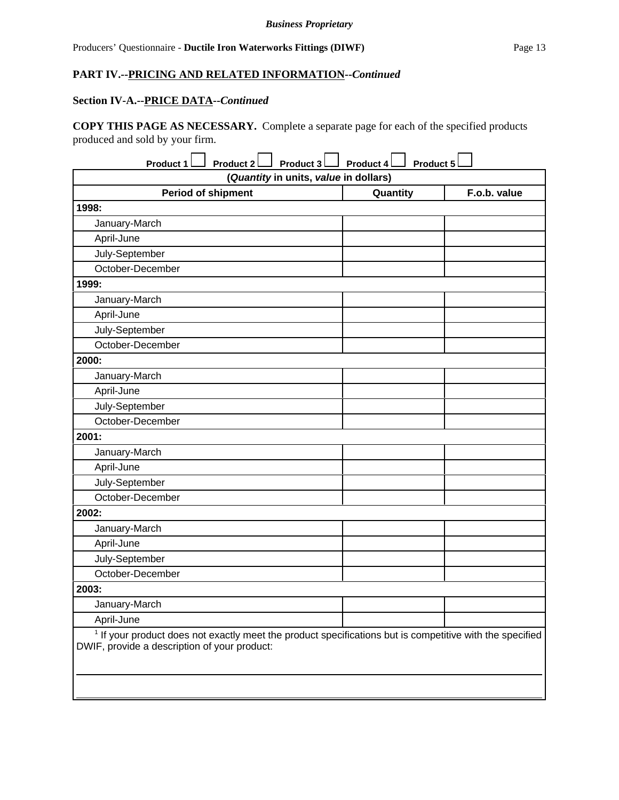## **Section IV-A.--PRICE DATA--***Continued*

**COPY THIS PAGE AS NECESSARY.** Complete a separate page for each of the specified products produced and sold by your firm.

| Product 1<br>Product 2<br>Product 3                                                                                                                                 | Product 5<br>Product 4 |              |  |  |  |  |  |  |
|---------------------------------------------------------------------------------------------------------------------------------------------------------------------|------------------------|--------------|--|--|--|--|--|--|
| (Quantity in units, value in dollars)                                                                                                                               |                        |              |  |  |  |  |  |  |
| <b>Period of shipment</b>                                                                                                                                           | Quantity               | F.o.b. value |  |  |  |  |  |  |
| 1998:                                                                                                                                                               |                        |              |  |  |  |  |  |  |
| January-March                                                                                                                                                       |                        |              |  |  |  |  |  |  |
| April-June                                                                                                                                                          |                        |              |  |  |  |  |  |  |
| July-September                                                                                                                                                      |                        |              |  |  |  |  |  |  |
| October-December                                                                                                                                                    |                        |              |  |  |  |  |  |  |
| 1999:                                                                                                                                                               |                        |              |  |  |  |  |  |  |
| January-March                                                                                                                                                       |                        |              |  |  |  |  |  |  |
| April-June                                                                                                                                                          |                        |              |  |  |  |  |  |  |
| July-September                                                                                                                                                      |                        |              |  |  |  |  |  |  |
| October-December                                                                                                                                                    |                        |              |  |  |  |  |  |  |
| 2000:                                                                                                                                                               |                        |              |  |  |  |  |  |  |
| January-March                                                                                                                                                       |                        |              |  |  |  |  |  |  |
| April-June                                                                                                                                                          |                        |              |  |  |  |  |  |  |
| July-September                                                                                                                                                      |                        |              |  |  |  |  |  |  |
| October-December                                                                                                                                                    |                        |              |  |  |  |  |  |  |
| 2001:                                                                                                                                                               |                        |              |  |  |  |  |  |  |
| January-March                                                                                                                                                       |                        |              |  |  |  |  |  |  |
| April-June                                                                                                                                                          |                        |              |  |  |  |  |  |  |
| July-September                                                                                                                                                      |                        |              |  |  |  |  |  |  |
| October-December                                                                                                                                                    |                        |              |  |  |  |  |  |  |
| 2002:                                                                                                                                                               |                        |              |  |  |  |  |  |  |
| January-March                                                                                                                                                       |                        |              |  |  |  |  |  |  |
| April-June                                                                                                                                                          |                        |              |  |  |  |  |  |  |
| July-September                                                                                                                                                      |                        |              |  |  |  |  |  |  |
| October-December                                                                                                                                                    |                        |              |  |  |  |  |  |  |
| 2003:                                                                                                                                                               |                        |              |  |  |  |  |  |  |
| January-March                                                                                                                                                       |                        |              |  |  |  |  |  |  |
| April-June                                                                                                                                                          |                        |              |  |  |  |  |  |  |
| <sup>1</sup> If your product does not exactly meet the product specifications but is competitive with the specified<br>DWIF, provide a description of your product: |                        |              |  |  |  |  |  |  |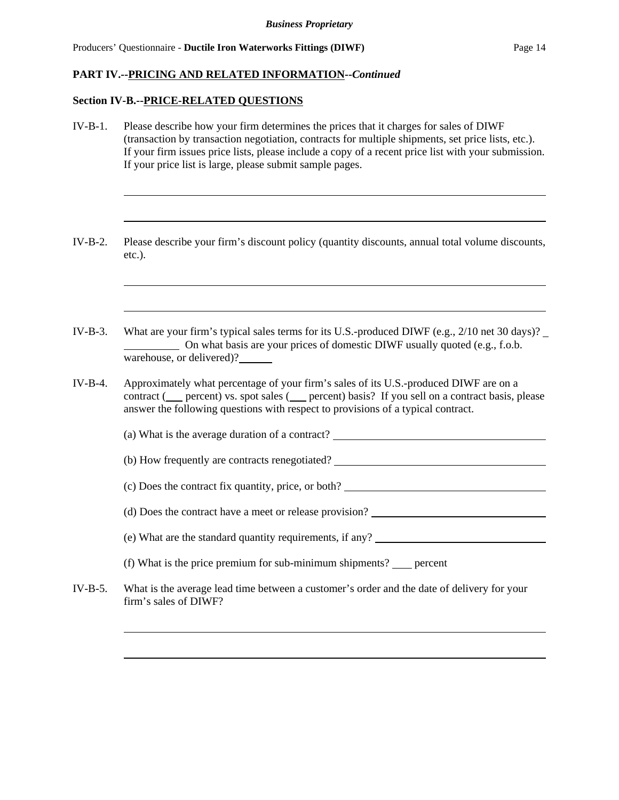## **Section IV-B.--PRICE-RELATED QUESTIONS**

| $IV-B-1.$  | Please describe how your firm determines the prices that it charges for sales of DIWF<br>(transaction by transaction negotiation, contracts for multiple shipments, set price lists, etc.).<br>If your firm issues price lists, please include a copy of a recent price list with your submission.<br>If your price list is large, please submit sample pages. |
|------------|----------------------------------------------------------------------------------------------------------------------------------------------------------------------------------------------------------------------------------------------------------------------------------------------------------------------------------------------------------------|
| $IV-B-2.$  | Please describe your firm's discount policy (quantity discounts, annual total volume discounts,<br>$etc.$ ).                                                                                                                                                                                                                                                   |
| $IV-B-3.$  | What are your firm's typical sales terms for its U.S.-produced DIWF (e.g., $2/10$ net 30 days)?<br>On what basis are your prices of domestic DIWF usually quoted (e.g., f.o.b.                                                                                                                                                                                 |
| $IV-B-4.$  | warehouse, or delivered)?<br>Approximately what percentage of your firm's sales of its U.S.-produced DIWF are on a<br>contract ( __ percent) vs. spot sales ( __ percent) basis? If you sell on a contract basis, please<br>answer the following questions with respect to provisions of a typical contract.                                                   |
|            | (a) What is the average duration of a contract?                                                                                                                                                                                                                                                                                                                |
|            | (b) How frequently are contracts renegotiated?                                                                                                                                                                                                                                                                                                                 |
|            |                                                                                                                                                                                                                                                                                                                                                                |
|            |                                                                                                                                                                                                                                                                                                                                                                |
|            | (e) What are the standard quantity requirements, if any?<br><u>Letting</u>                                                                                                                                                                                                                                                                                     |
|            | (f) What is the price premium for sub-minimum shipments? $\_\_\$ percent                                                                                                                                                                                                                                                                                       |
| $IV-B-5$ . | What is the average lead time between a customer's order and the date of delivery for your<br>firm's sales of DIWF?                                                                                                                                                                                                                                            |
|            |                                                                                                                                                                                                                                                                                                                                                                |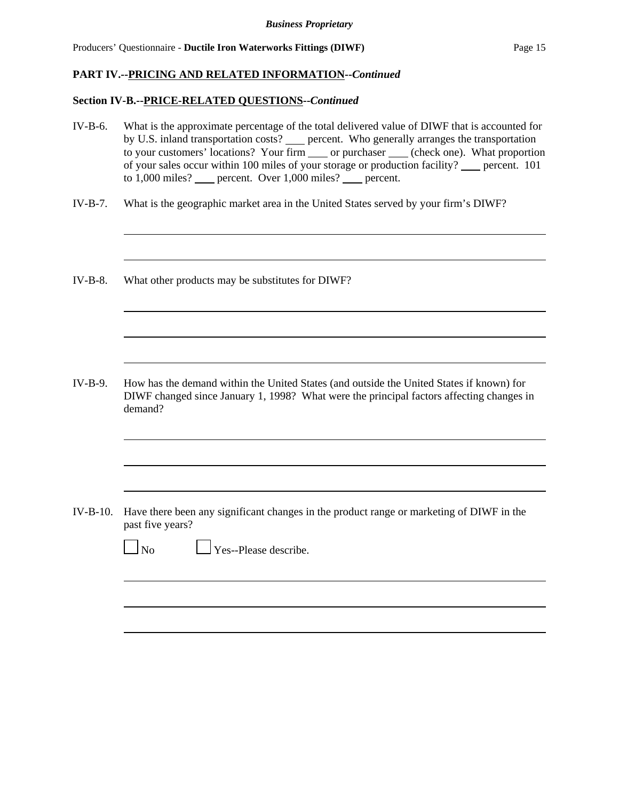## **Section IV-B.--PRICE-RELATED QUESTIONS--***Continued*

| $IV-B-6.$  | What is the approximate percentage of the total delivered value of DIWF that is accounted for<br>by U.S. inland transportation costs? error. Who generally arranges the transportation<br>to your customers' locations? Your firm _____ or purchaser _____ (check one). What proportion<br>of your sales occur within 100 miles of your storage or production facility? ___ percent. 101<br>to 1,000 miles? __ percent. Over 1,000 miles? __ percent. |
|------------|-------------------------------------------------------------------------------------------------------------------------------------------------------------------------------------------------------------------------------------------------------------------------------------------------------------------------------------------------------------------------------------------------------------------------------------------------------|
| $IV-B-7.$  | What is the geographic market area in the United States served by your firm's DIWF?                                                                                                                                                                                                                                                                                                                                                                   |
| IV-B-8.    | What other products may be substitutes for DIWF?                                                                                                                                                                                                                                                                                                                                                                                                      |
| $IV-B-9.$  | How has the demand within the United States (and outside the United States if known) for<br>DIWF changed since January 1, 1998? What were the principal factors affecting changes in<br>demand?                                                                                                                                                                                                                                                       |
| $IV-B-10.$ | Have there been any significant changes in the product range or marketing of DIWF in the<br>past five years?<br>Yes--Please describe.<br>$\log$                                                                                                                                                                                                                                                                                                       |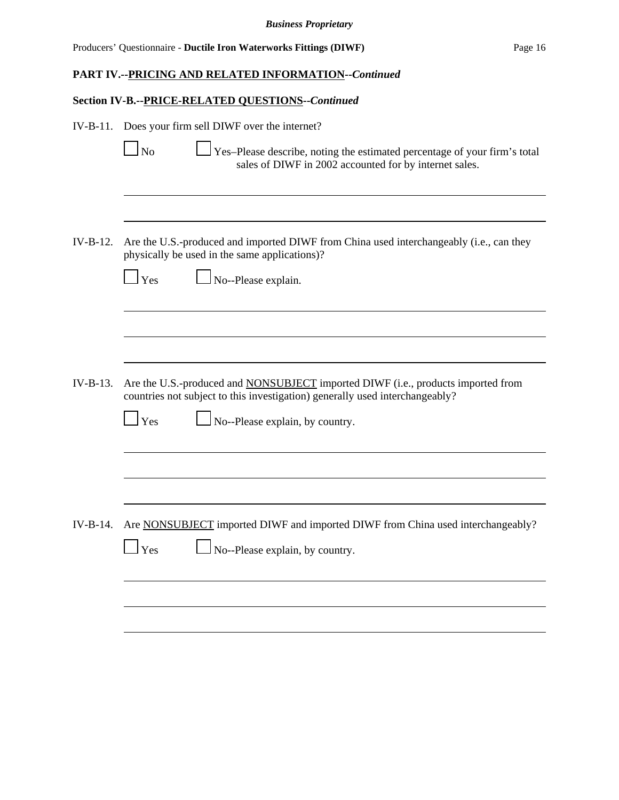## **Section IV-B.--PRICE-RELATED QUESTIONS--***Continued*

| $IV-B-11.$ | Does your firm sell DIWF over the internet?                                                                                                                             |
|------------|-------------------------------------------------------------------------------------------------------------------------------------------------------------------------|
|            | N <sub>o</sub><br>Yes-Please describe, noting the estimated percentage of your firm's total<br>sales of DIWF in 2002 accounted for by internet sales.                   |
|            |                                                                                                                                                                         |
| IV-B-12.   | Are the U.S.-produced and imported DIWF from China used interchangeably (i.e., can they<br>physically be used in the same applications)?                                |
|            | No--Please explain.<br><b>Yes</b>                                                                                                                                       |
|            |                                                                                                                                                                         |
|            |                                                                                                                                                                         |
| $IV-B-13.$ | Are the U.S.-produced and <b>NONSUBJECT</b> imported DIWF (i.e., products imported from<br>countries not subject to this investigation) generally used interchangeably? |
|            | No--Please explain, by country.<br>$\Gamma$ Yes                                                                                                                         |
|            |                                                                                                                                                                         |
|            |                                                                                                                                                                         |
| $IV-B-14.$ | Are NONSUBJECT imported DIWF and imported DIWF from China used interchangeably?                                                                                         |
|            | No--Please explain, by country.<br><b>Yes</b>                                                                                                                           |
|            |                                                                                                                                                                         |
|            |                                                                                                                                                                         |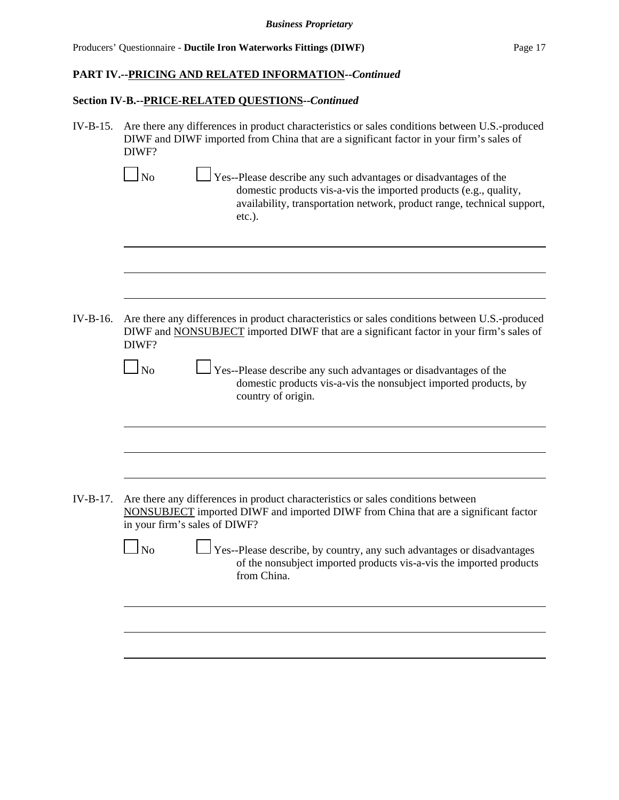#### **Section IV-B.--PRICE-RELATED QUESTIONS--***Continued*

IV-B-15. Are there any differences in product characteristics or sales conditions between U.S.-produced DIWF and DIWF imported from China that are a significant factor in your firm's sales of DIWF?

 $\Box$  Yes--Please describe any such advantages or disadvantages of the domestic products vis-a-vis the imported products (e.g., quality, availability, transportation network, product range, technical support, etc.).

IV-B-16. Are there any differences in product characteristics or sales conditions between U.S.-produced DIWF and NONSUBJECT imported DIWF that are a significant factor in your firm's sales of DIWF?

> $\Box$  No  $\Box$  Yes--Please describe any such advantages or disadvantages of the domestic products vis-a-vis the nonsubject imported products, by country of origin.

IV-B-17. Are there any differences in product characteristics or sales conditions between NONSUBJECT imported DIWF and imported DIWF from China that are a significant factor in your firm's sales of DIWF?

> No Yes--Please describe, by country, any such advantages or disadvantages of the nonsubject imported products vis-a-vis the imported products from China.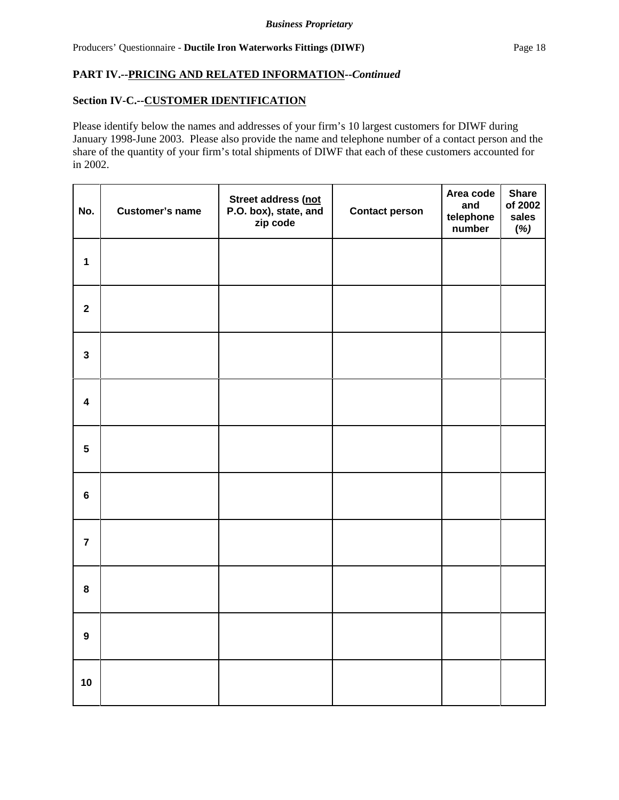### **Section IV-C.--CUSTOMER IDENTIFICATION**

Please identify below the names and addresses of your firm's 10 largest customers for DIWF during January 1998-June 2003. Please also provide the name and telephone number of a contact person and the share of the quantity of your firm's total shipments of DIWF that each of these customers accounted for in 2002.

| No.                     | <b>Customer's name</b> | Street address (not<br>P.O. box), state, and<br>zip code | <b>Contact person</b> | Area code<br>and<br>telephone<br>number | <b>Share</b><br>of 2002<br>sales<br>(%) |
|-------------------------|------------------------|----------------------------------------------------------|-----------------------|-----------------------------------------|-----------------------------------------|
| $\mathbf{1}$            |                        |                                                          |                       |                                         |                                         |
| $\overline{\mathbf{2}}$ |                        |                                                          |                       |                                         |                                         |
| $\mathbf{3}$            |                        |                                                          |                       |                                         |                                         |
| $\overline{\mathbf{4}}$ |                        |                                                          |                       |                                         |                                         |
| $5\phantom{a}$          |                        |                                                          |                       |                                         |                                         |
| $\bf 6$                 |                        |                                                          |                       |                                         |                                         |
| $\overline{7}$          |                        |                                                          |                       |                                         |                                         |
| 8                       |                        |                                                          |                       |                                         |                                         |
| $\overline{9}$          |                        |                                                          |                       |                                         |                                         |
| 10                      |                        |                                                          |                       |                                         |                                         |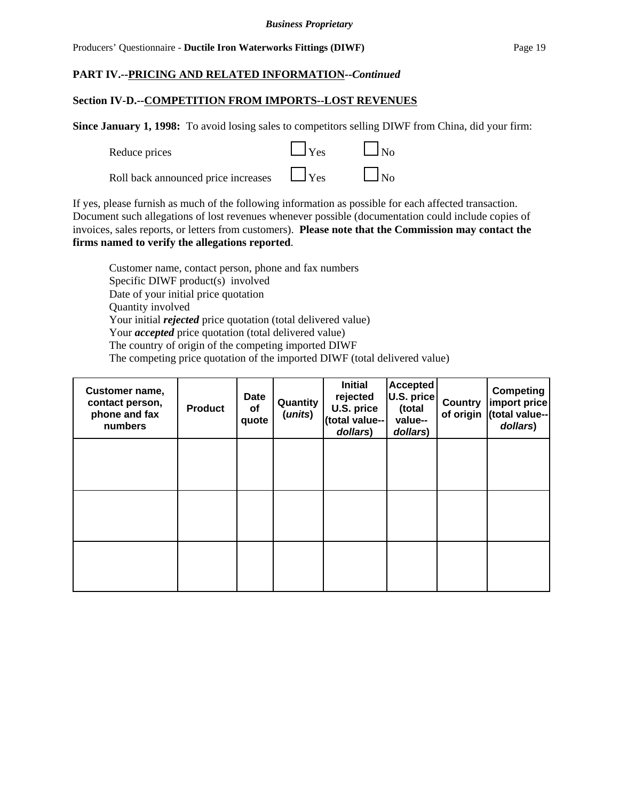#### *Business Proprietary*

#### Producers' Questionnaire - **Ductile Iron Waterworks Fittings (DIWF)** Page 19

## **PART IV.--PRICING AND RELATED INFORMATION--***Continued*

#### **Section IV-D.--COMPETITION FROM IMPORTS--LOST REVENUES**

**Since January 1, 1998:** To avoid losing sales to competitors selling DIWF from China, did your firm:

| Reduce prices                       | $\Box$ Yes | $\Box$ No |
|-------------------------------------|------------|-----------|
| Roll back announced price increases | $\Box$ Yes | $\Box$ No |

If yes, please furnish as much of the following information as possible for each affected transaction. Document such allegations of lost revenues whenever possible (documentation could include copies of invoices, sales reports, or letters from customers). **Please note that the Commission may contact the firms named to verify the allegations reported**.

Customer name, contact person, phone and fax numbers Specific DIWF product(s) involved Date of your initial price quotation Quantity involved Your initial *rejected* price quotation (total delivered value) Your *accepted* price quotation (total delivered value) The country of origin of the competing imported DIWF The competing price quotation of the imported DIWF (total delivered value)

| Customer name,<br>contact person,<br>phone and fax<br>numbers | <b>Product</b> | <b>Date</b><br><b>of</b><br>quote | Quantity<br>(units) | <b>Initial</b><br>rejected<br>U.S. price<br>(total value--<br>dollars) | <b>Accepted</b><br>U.S. price<br>(total<br>value--<br>dollars) | <b>Country</b><br>of origin | <b>Competing</b><br>import price<br>(total value--<br>dollars) |
|---------------------------------------------------------------|----------------|-----------------------------------|---------------------|------------------------------------------------------------------------|----------------------------------------------------------------|-----------------------------|----------------------------------------------------------------|
|                                                               |                |                                   |                     |                                                                        |                                                                |                             |                                                                |
|                                                               |                |                                   |                     |                                                                        |                                                                |                             |                                                                |
|                                                               |                |                                   |                     |                                                                        |                                                                |                             |                                                                |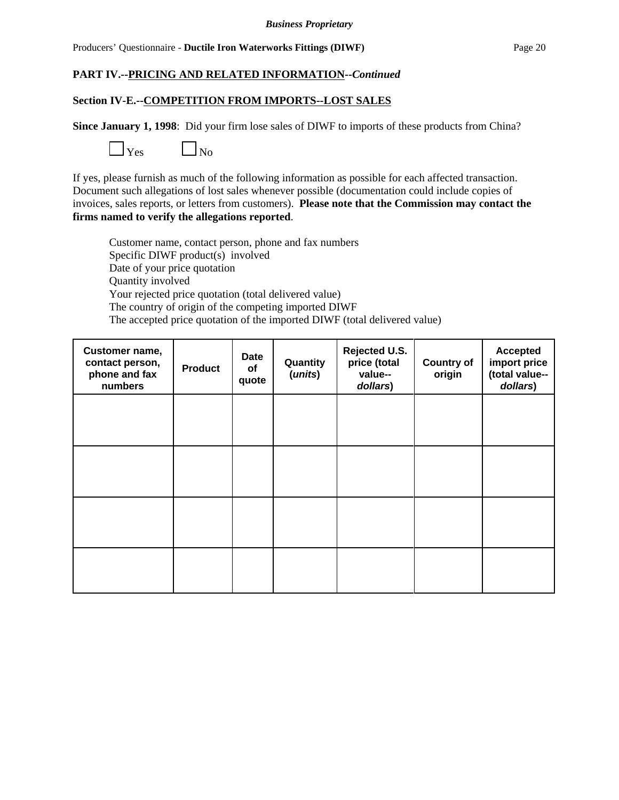#### **Section IV-E.--COMPETITION FROM IMPORTS--LOST SALES**

**Since January 1, 1998**: Did your firm lose sales of DIWF to imports of these products from China?



If yes, please furnish as much of the following information as possible for each affected transaction. Document such allegations of lost sales whenever possible (documentation could include copies of invoices, sales reports, or letters from customers). **Please note that the Commission may contact the firms named to verify the allegations reported**.

Customer name, contact person, phone and fax numbers Specific DIWF product(s) involved Date of your price quotation Quantity involved Your rejected price quotation (total delivered value) The country of origin of the competing imported DIWF The accepted price quotation of the imported DIWF (total delivered value)

| Customer name,<br>contact person,<br>phone and fax<br>numbers | <b>Product</b> | Date<br>of<br>quote | Quantity<br>(units) | Rejected U.S.<br>price (total<br>value--<br>dollars) | <b>Country of</b><br>origin | <b>Accepted</b><br>import price<br>(total value--<br>dollars) |
|---------------------------------------------------------------|----------------|---------------------|---------------------|------------------------------------------------------|-----------------------------|---------------------------------------------------------------|
|                                                               |                |                     |                     |                                                      |                             |                                                               |
|                                                               |                |                     |                     |                                                      |                             |                                                               |
|                                                               |                |                     |                     |                                                      |                             |                                                               |
|                                                               |                |                     |                     |                                                      |                             |                                                               |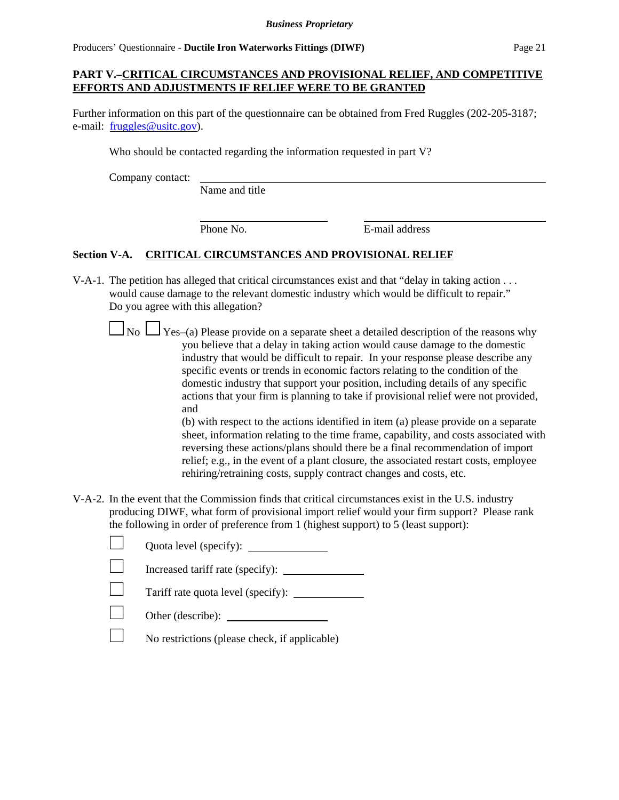### **PART V.–CRITICAL CIRCUMSTANCES AND PROVISIONAL RELIEF, AND COMPETITIVE EFFORTS AND ADJUSTMENTS IF RELIEF WERE TO BE GRANTED**

Further information on this part of the questionnaire can be obtained from Fred Ruggles (202-205-3187; e-mail: fruggles@usitc.gov).

Who should be contacted regarding the information requested in part V?

Company contact:

Name and title

Phone No. **E-mail address** 

### **Section V-A. CRITICAL CIRCUMSTANCES AND PROVISIONAL RELIEF**

- V-A-1. The petition has alleged that critical circumstances exist and that "delay in taking action . . . would cause damage to the relevant domestic industry which would be difficult to repair." Do you agree with this allegation?
	- $\Box$  No  $\Box$  Yes–(a) Please provide on a separate sheet a detailed description of the reasons why you believe that a delay in taking action would cause damage to the domestic industry that would be difficult to repair. In your response please describe any specific events or trends in economic factors relating to the condition of the domestic industry that support your position, including details of any specific actions that your firm is planning to take if provisional relief were not provided, and

(b) with respect to the actions identified in item (a) please provide on a separate sheet, information relating to the time frame, capability, and costs associated with reversing these actions/plans should there be a final recommendation of import relief; e.g., in the event of a plant closure, the associated restart costs, employee rehiring/retraining costs, supply contract changes and costs, etc.

V-A-2. In the event that the Commission finds that critical circumstances exist in the U.S. industry producing DIWF, what form of provisional import relief would your firm support? Please rank the following in order of preference from 1 (highest support) to 5 (least support):

| Quota level (specify):                        |
|-----------------------------------------------|
| Increased tariff rate (specify):              |
|                                               |
| Other (describe):                             |
| No restrictions (please check, if applicable) |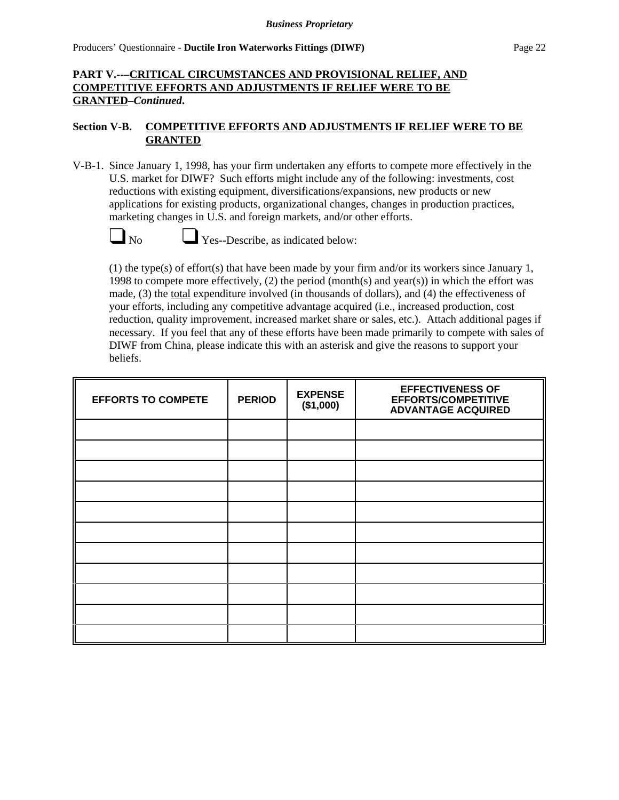## **PART V.--–CRITICAL CIRCUMSTANCES AND PROVISIONAL RELIEF, AND COMPETITIVE EFFORTS AND ADJUSTMENTS IF RELIEF WERE TO BE GRANTED–***Continued***.**

### **Section V-B. COMPETITIVE EFFORTS AND ADJUSTMENTS IF RELIEF WERE TO BE GRANTED**

V-B-1. Since January 1, 1998, has your firm undertaken any efforts to compete more effectively in the U.S. market for DIWF? Such efforts might include any of the following: investments, cost reductions with existing equipment, diversifications/expansions, new products or new applications for existing products, organizational changes, changes in production practices, marketing changes in U.S. and foreign markets, and/or other efforts.



 $\Box$  Yes--Describe, as indicated below:

(1) the type(s) of effort(s) that have been made by your firm and/or its workers since January 1, 1998 to compete more effectively,  $(2)$  the period (month(s) and year(s)) in which the effort was made, (3) the total expenditure involved (in thousands of dollars), and (4) the effectiveness of your efforts, including any competitive advantage acquired (i.e., increased production, cost reduction, quality improvement, increased market share or sales, etc.). Attach additional pages if necessary. If you feel that any of these efforts have been made primarily to compete with sales of DIWF from China, please indicate this with an asterisk and give the reasons to support your beliefs.

| <b>EFFORTS TO COMPETE</b> | <b>PERIOD</b> | <b>EXPENSE</b><br>(\$1,000) | <b>EFFECTIVENESS OF</b><br><b>EFFORTS/COMPETITIVE</b><br><b>ADVANTAGE ACQUIRED</b> |
|---------------------------|---------------|-----------------------------|------------------------------------------------------------------------------------|
|                           |               |                             |                                                                                    |
|                           |               |                             |                                                                                    |
|                           |               |                             |                                                                                    |
|                           |               |                             |                                                                                    |
|                           |               |                             |                                                                                    |
|                           |               |                             |                                                                                    |
|                           |               |                             |                                                                                    |
|                           |               |                             |                                                                                    |
|                           |               |                             |                                                                                    |
|                           |               |                             |                                                                                    |
|                           |               |                             |                                                                                    |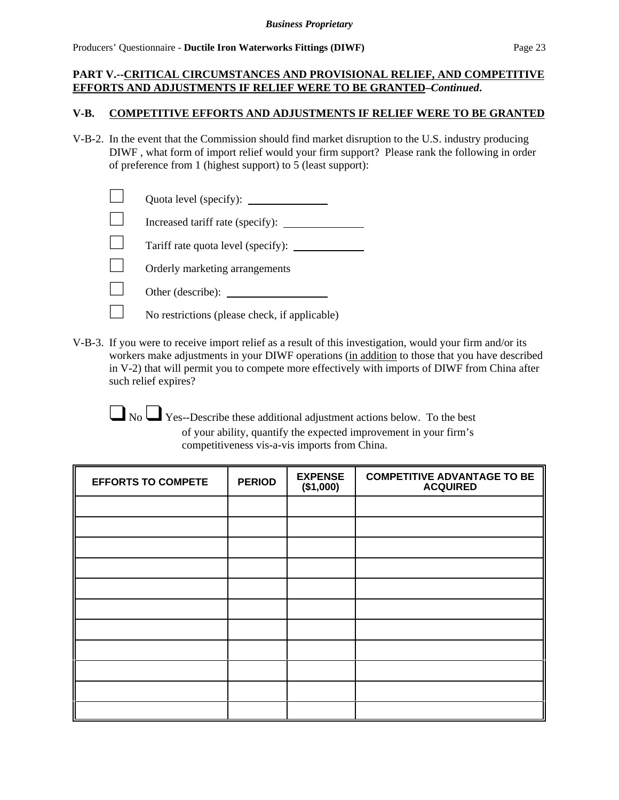#### *Business Proprietary*

### **PART V.--CRITICAL CIRCUMSTANCES AND PROVISIONAL RELIEF, AND COMPETITIVE EFFORTS AND ADJUSTMENTS IF RELIEF WERE TO BE GRANTED–***Continued***.**

#### **V-B. COMPETITIVE EFFORTS AND ADJUSTMENTS IF RELIEF WERE TO BE GRANTED**

V-B-2. In the event that the Commission should find market disruption to the U.S. industry producing DIWF , what form of import relief would your firm support? Please rank the following in order of preference from 1 (highest support) to 5 (least support):

| Quota level (specify): |
|------------------------|
|------------------------|

 $\Box$  Increased tariff rate (specify):  $\Box$ 

 $\Box$  Tariff rate quota level (specify):  $\Box$ 

 $\Box$  Orderly marketing arrangements

- $\Box$  Other (describe):  $\Box$ 
	- No restrictions (please check, if applicable)
- V-B-3. If you were to receive import relief as a result of this investigation, would your firm and/or its workers make adjustments in your DIWF operations (in addition to those that you have described in V-2) that will permit you to compete more effectively with imports of DIWF from China after such relief expires?

 $\Box$  No  $\Box$  Yes--Describe these additional adjustment actions below. To the best of your ability, quantify the expected improvement in your firm's competitiveness vis-a-vis imports from China.

| <b>EFFORTS TO COMPETE</b> | <b>PERIOD</b> | <b>EXPENSE</b><br>(\$1,000) | <b>COMPETITIVE ADVANTAGE TO BE</b><br><b>ACQUIRED</b> |
|---------------------------|---------------|-----------------------------|-------------------------------------------------------|
|                           |               |                             |                                                       |
|                           |               |                             |                                                       |
|                           |               |                             |                                                       |
|                           |               |                             |                                                       |
|                           |               |                             |                                                       |
|                           |               |                             |                                                       |
|                           |               |                             |                                                       |
|                           |               |                             |                                                       |
|                           |               |                             |                                                       |
|                           |               |                             |                                                       |
|                           |               |                             |                                                       |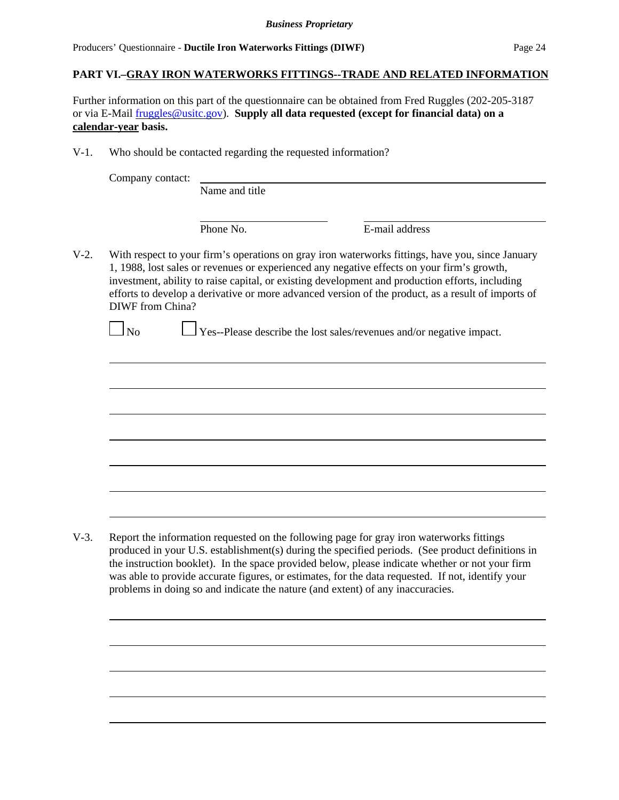### **PART VI.–GRAY IRON WATERWORKS FITTINGS--TRADE AND RELATED INFORMATION**

Further information on this part of the questionnaire can be obtained from Fred Ruggles (202-205-3187 or via E-Mail fruggles@usitc.gov). **Supply all data requested (except for financial data) on a calendar-year basis.**

V-1. Who should be contacted regarding the requested information?

Name and title

Phone No. **E**-mail address

V-2. With respect to your firm's operations on gray iron waterworks fittings, have you, since January 1, 1988, lost sales or revenues or experienced any negative effects on your firm's growth, investment, ability to raise capital, or existing development and production efforts, including efforts to develop a derivative or more advanced version of the product, as a result of imports of DIWF from China?

 $\Box$  Yes--Please describe the lost sales/revenues and/or negative impact.

V-3. Report the information requested on the following page for gray iron waterworks fittings produced in your U.S. establishment(s) during the specified periods. (See product definitions in the instruction booklet). In the space provided below, please indicate whether or not your firm was able to provide accurate figures, or estimates, for the data requested. If not, identify your problems in doing so and indicate the nature (and extent) of any inaccuracies.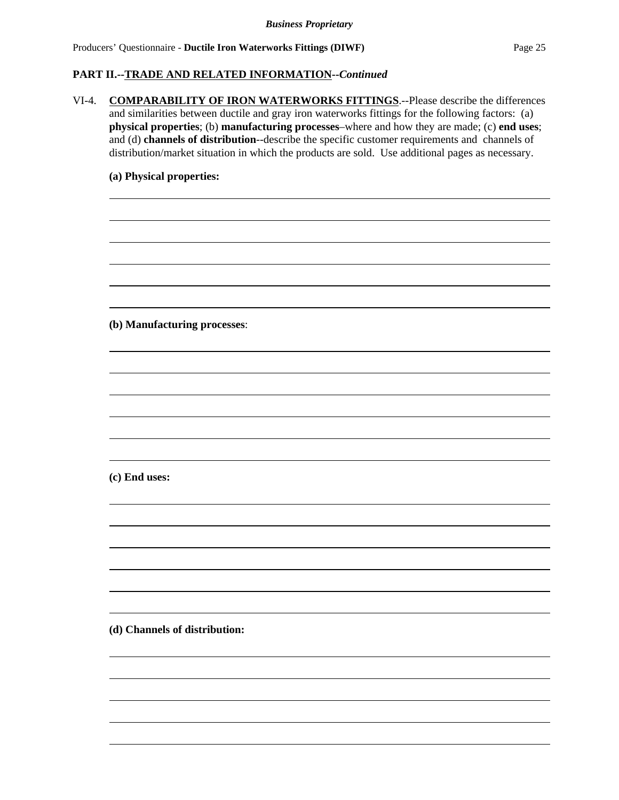#### **PART II.--TRADE AND RELATED INFORMATION--***Continued*

VI-4. **COMPARABILITY OF IRON WATERWORKS FITTINGS**.--Please describe the differences and similarities between ductile and gray iron waterworks fittings for the following factors: (a) **physical properties**; (b) **manufacturing processes**–where and how they are made; (c) **end uses**; and (d) **channels of distribution**--describe the specific customer requirements and channels of distribution/market situation in which the products are sold. Use additional pages as necessary. **(a) Physical properties: (b) Manufacturing processes**: **(c) End uses:**  $\overline{a}$  $\overline{a}$ **(d) Channels of distribution:**  $\overline{a}$  $\overline{a}$